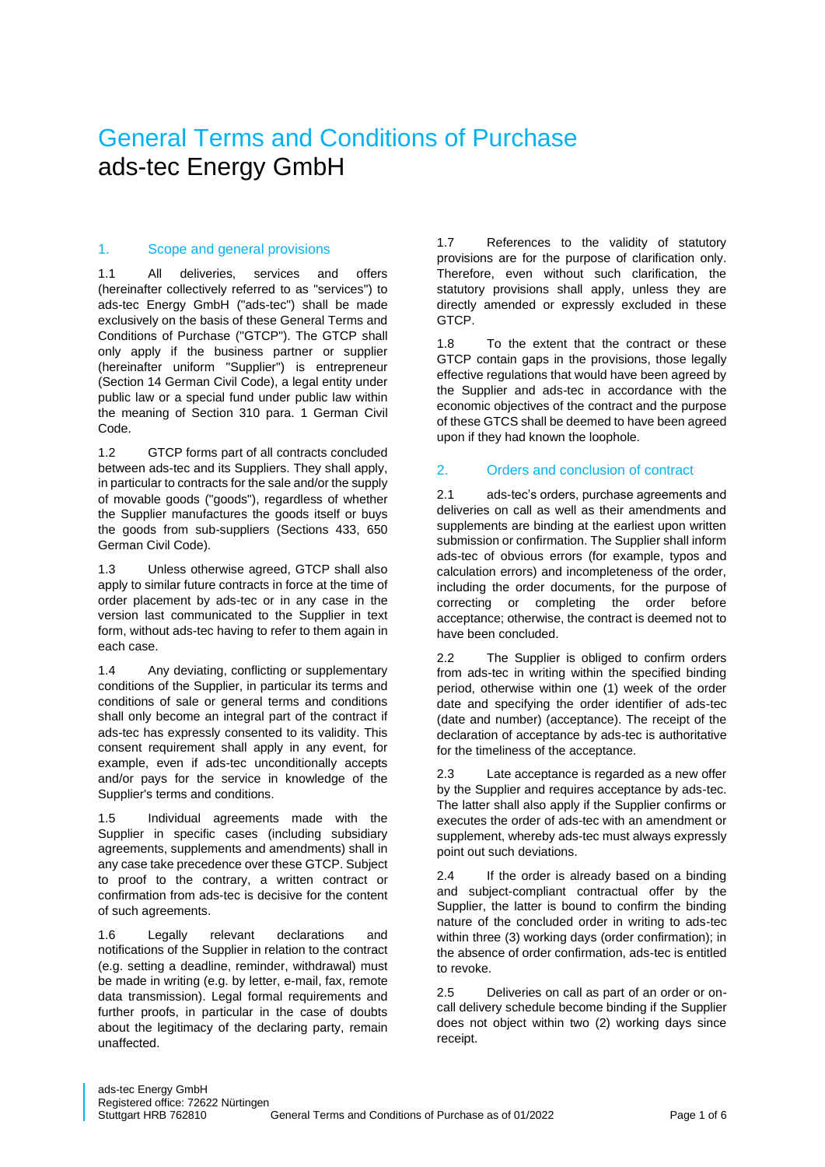# General Terms and Conditions of Purchase ads-tec Energy GmbH

## 1. Scope and general provisions

1.1 All deliveries, services and offers (hereinafter collectively referred to as "services") to ads-tec Energy GmbH ("ads-tec") shall be made exclusively on the basis of these General Terms and Conditions of Purchase ("GTCP"). The GTCP shall only apply if the business partner or supplier (hereinafter uniform "Supplier") is entrepreneur (Section 14 German Civil Code), a legal entity under public law or a special fund under public law within the meaning of Section 310 para. 1 German Civil Code.

1.2 GTCP forms part of all contracts concluded between ads-tec and its Suppliers. They shall apply, in particular to contracts for the sale and/or the supply of movable goods ("goods"), regardless of whether the Supplier manufactures the goods itself or buys the goods from sub-suppliers (Sections 433, 650 German Civil Code).

1.3 Unless otherwise agreed, GTCP shall also apply to similar future contracts in force at the time of order placement by ads-tec or in any case in the version last communicated to the Supplier in text form, without ads-tec having to refer to them again in each case.

1.4 Any deviating, conflicting or supplementary conditions of the Supplier, in particular its terms and conditions of sale or general terms and conditions shall only become an integral part of the contract if ads-tec has expressly consented to its validity. This consent requirement shall apply in any event, for example, even if ads-tec unconditionally accepts and/or pays for the service in knowledge of the Supplier's terms and conditions.

1.5 Individual agreements made with the Supplier in specific cases (including subsidiary agreements, supplements and amendments) shall in any case take precedence over these GTCP. Subject to proof to the contrary, a written contract or confirmation from ads-tec is decisive for the content of such agreements.

1.6 Legally relevant declarations and notifications of the Supplier in relation to the contract (e.g. setting a deadline, reminder, withdrawal) must be made in writing (e.g. by letter, e-mail, fax, remote data transmission). Legal formal requirements and further proofs, in particular in the case of doubts about the legitimacy of the declaring party, remain unaffected.

1.7 References to the validity of statutory provisions are for the purpose of clarification only. Therefore, even without such clarification, the statutory provisions shall apply, unless they are directly amended or expressly excluded in these GTCP.

1.8 To the extent that the contract or these GTCP contain gaps in the provisions, those legally effective regulations that would have been agreed by the Supplier and ads-tec in accordance with the economic objectives of the contract and the purpose of these GTCS shall be deemed to have been agreed upon if they had known the loophole.

## 2. Orders and conclusion of contract

2.1 ads-tec's orders, purchase agreements and deliveries on call as well as their amendments and supplements are binding at the earliest upon written submission or confirmation. The Supplier shall inform ads-tec of obvious errors (for example, typos and calculation errors) and incompleteness of the order, including the order documents, for the purpose of correcting or completing the order before acceptance; otherwise, the contract is deemed not to have been concluded.

2.2 The Supplier is obliged to confirm orders from ads-tec in writing within the specified binding period, otherwise within one (1) week of the order date and specifying the order identifier of ads-tec (date and number) (acceptance). The receipt of the declaration of acceptance by ads-tec is authoritative for the timeliness of the acceptance.

2.3 Late acceptance is regarded as a new offer by the Supplier and requires acceptance by ads-tec. The latter shall also apply if the Supplier confirms or executes the order of ads-tec with an amendment or supplement, whereby ads-tec must always expressly point out such deviations.

2.4 If the order is already based on a binding and subject-compliant contractual offer by the Supplier, the latter is bound to confirm the binding nature of the concluded order in writing to ads-tec within three (3) working days (order confirmation); in the absence of order confirmation, ads-tec is entitled to revoke.

2.5 Deliveries on call as part of an order or oncall delivery schedule become binding if the Supplier does not object within two (2) working days since receipt.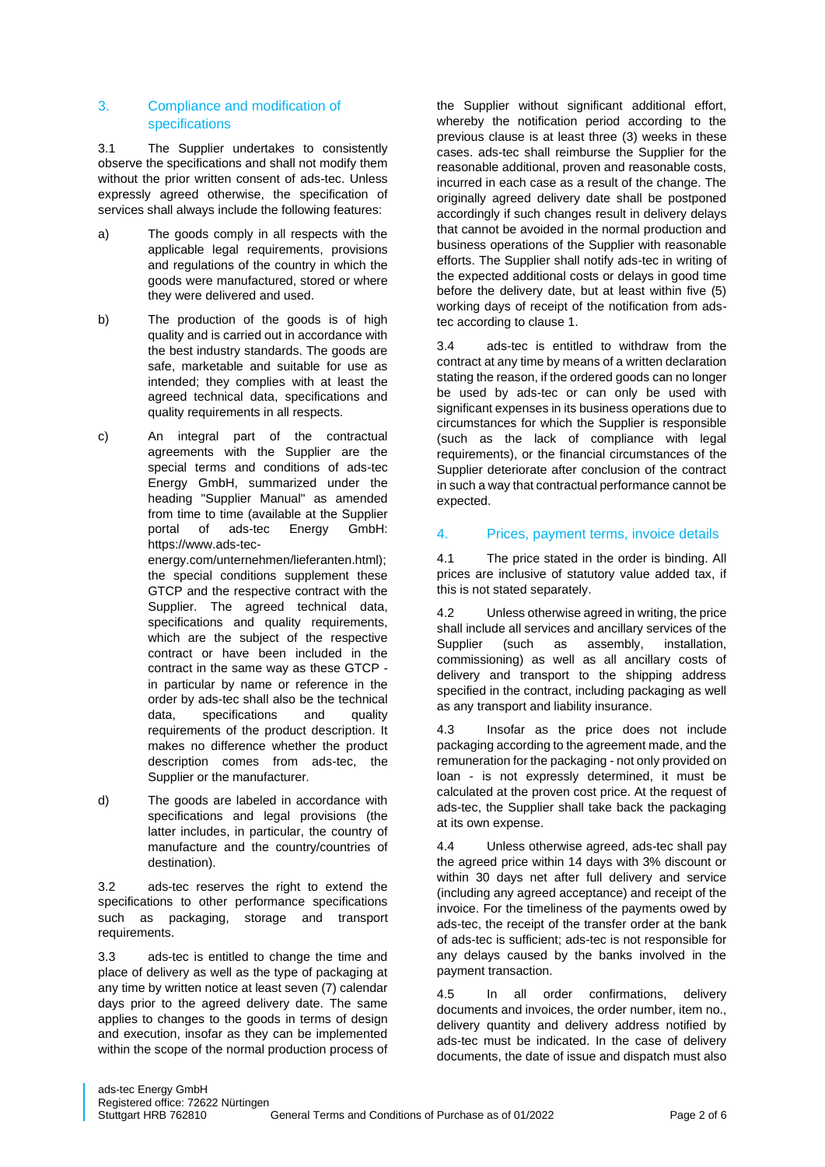## 3. Compliance and modification of specifications

3.1 The Supplier undertakes to consistently observe the specifications and shall not modify them without the prior written consent of ads-tec. Unless expressly agreed otherwise, the specification of services shall always include the following features:

- a) The goods comply in all respects with the applicable legal requirements, provisions and regulations of the country in which the goods were manufactured, stored or where they were delivered and used.
- b) The production of the goods is of high quality and is carried out in accordance with the best industry standards. The goods are safe, marketable and suitable for use as intended; they complies with at least the agreed technical data, specifications and quality requirements in all respects.
- c) An integral part of the contractual agreements with the Supplier are the special terms and conditions of ads-tec Energy GmbH, summarized under the heading "Supplier Manual" as amended from time to time (available at the Supplier portal of ads-tec Energy GmbH: https://www.ads-tec-

energy.com/unternehmen/lieferanten.html); the special conditions supplement these GTCP and the respective contract with the Supplier. The agreed technical data, specifications and quality requirements, which are the subject of the respective contract or have been included in the contract in the same way as these GTCP in particular by name or reference in the order by ads-tec shall also be the technical data, specifications and quality requirements of the product description. It makes no difference whether the product description comes from ads-tec, the Supplier or the manufacturer.

d) The goods are labeled in accordance with specifications and legal provisions (the latter includes, in particular, the country of manufacture and the country/countries of destination).

3.2 ads-tec reserves the right to extend the specifications to other performance specifications such as packaging, storage and transport requirements.

3.3 ads-tec is entitled to change the time and place of delivery as well as the type of packaging at any time by written notice at least seven (7) calendar days prior to the agreed delivery date. The same applies to changes to the goods in terms of design and execution, insofar as they can be implemented within the scope of the normal production process of the Supplier without significant additional effort, whereby the notification period according to the previous clause is at least three (3) weeks in these cases. ads-tec shall reimburse the Supplier for the reasonable additional, proven and reasonable costs, incurred in each case as a result of the change. The originally agreed delivery date shall be postponed accordingly if such changes result in delivery delays that cannot be avoided in the normal production and business operations of the Supplier with reasonable efforts. The Supplier shall notify ads-tec in writing of the expected additional costs or delays in good time before the delivery date, but at least within five (5) working days of receipt of the notification from adstec according to clause 1.

3.4 ads-tec is entitled to withdraw from the contract at any time by means of a written declaration stating the reason, if the ordered goods can no longer be used by ads-tec or can only be used with significant expenses in its business operations due to circumstances for which the Supplier is responsible (such as the lack of compliance with legal requirements), or the financial circumstances of the Supplier deteriorate after conclusion of the contract in such a way that contractual performance cannot be expected.

# 4. Prices, payment terms, invoice details

4.1 The price stated in the order is binding. All prices are inclusive of statutory value added tax, if this is not stated separately.

4.2 Unless otherwise agreed in writing, the price shall include all services and ancillary services of the Supplier (such as assembly, installation, commissioning) as well as all ancillary costs of delivery and transport to the shipping address specified in the contract, including packaging as well as any transport and liability insurance.

4.3 Insofar as the price does not include packaging according to the agreement made, and the remuneration for the packaging - not only provided on loan - is not expressly determined, it must be calculated at the proven cost price. At the request of ads-tec, the Supplier shall take back the packaging at its own expense.

4.4 Unless otherwise agreed, ads-tec shall pay the agreed price within 14 days with 3% discount or within 30 days net after full delivery and service (including any agreed acceptance) and receipt of the invoice. For the timeliness of the payments owed by ads-tec, the receipt of the transfer order at the bank of ads-tec is sufficient; ads-tec is not responsible for any delays caused by the banks involved in the payment transaction.

4.5 In all order confirmations, delivery documents and invoices, the order number, item no., delivery quantity and delivery address notified by ads-tec must be indicated. In the case of delivery documents, the date of issue and dispatch must also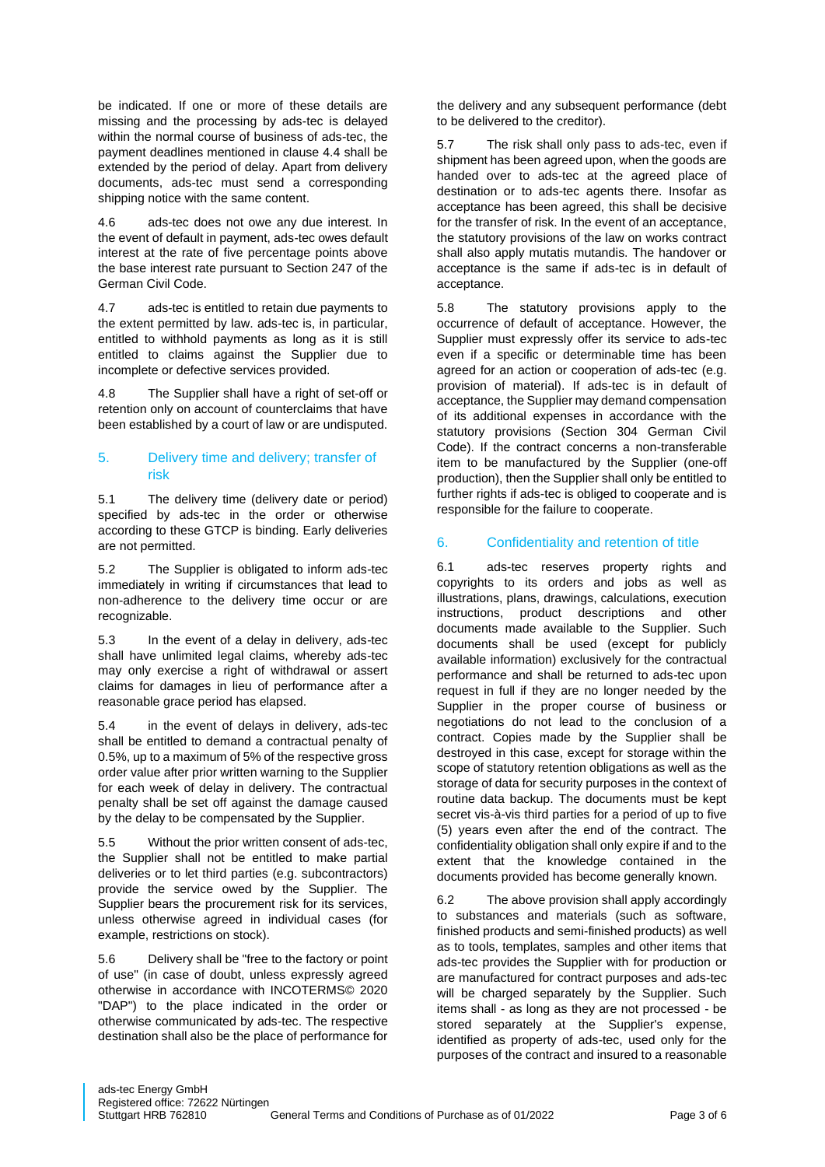be indicated. If one or more of these details are missing and the processing by ads-tec is delayed within the normal course of business of ads-tec, the payment deadlines mentioned in clause 4.4 shall be extended by the period of delay. Apart from delivery documents, ads-tec must send a corresponding shipping notice with the same content.

4.6 ads-tec does not owe any due interest. In the event of default in payment, ads-tec owes default interest at the rate of five percentage points above the base interest rate pursuant to Section 247 of the German Civil Code.

4.7 ads-tec is entitled to retain due payments to the extent permitted by law. ads-tec is, in particular, entitled to withhold payments as long as it is still entitled to claims against the Supplier due to incomplete or defective services provided.

4.8 The Supplier shall have a right of set-off or retention only on account of counterclaims that have been established by a court of law or are undisputed.

# 5. Delivery time and delivery; transfer of risk

5.1 The delivery time (delivery date or period) specified by ads-tec in the order or otherwise according to these GTCP is binding. Early deliveries are not permitted.

5.2 The Supplier is obligated to inform ads-tec immediately in writing if circumstances that lead to non-adherence to the delivery time occur or are recognizable.

5.3 In the event of a delay in delivery, ads-tec shall have unlimited legal claims, whereby ads-tec may only exercise a right of withdrawal or assert claims for damages in lieu of performance after a reasonable grace period has elapsed.

5.4 in the event of delays in delivery, ads-tec shall be entitled to demand a contractual penalty of 0.5%, up to a maximum of 5% of the respective gross order value after prior written warning to the Supplier for each week of delay in delivery. The contractual penalty shall be set off against the damage caused by the delay to be compensated by the Supplier.

5.5 Without the prior written consent of ads-tec, the Supplier shall not be entitled to make partial deliveries or to let third parties (e.g. subcontractors) provide the service owed by the Supplier. The Supplier bears the procurement risk for its services, unless otherwise agreed in individual cases (for example, restrictions on stock).

5.6 Delivery shall be "free to the factory or point of use" (in case of doubt, unless expressly agreed otherwise in accordance with INCOTERMS© 2020 "DAP") to the place indicated in the order or otherwise communicated by ads-tec. The respective destination shall also be the place of performance for the delivery and any subsequent performance (debt to be delivered to the creditor).

5.7 The risk shall only pass to ads-tec, even if shipment has been agreed upon, when the goods are handed over to ads-tec at the agreed place of destination or to ads-tec agents there. Insofar as acceptance has been agreed, this shall be decisive for the transfer of risk. In the event of an acceptance, the statutory provisions of the law on works contract shall also apply mutatis mutandis. The handover or acceptance is the same if ads-tec is in default of acceptance.

5.8 The statutory provisions apply to the occurrence of default of acceptance. However, the Supplier must expressly offer its service to ads-tec even if a specific or determinable time has been agreed for an action or cooperation of ads-tec (e.g. provision of material). If ads-tec is in default of acceptance, the Supplier may demand compensation of its additional expenses in accordance with the statutory provisions (Section 304 German Civil Code). If the contract concerns a non-transferable item to be manufactured by the Supplier (one-off production), then the Supplier shall only be entitled to further rights if ads-tec is obliged to cooperate and is responsible for the failure to cooperate.

# 6. Confidentiality and retention of title

6.1 ads-tec reserves property rights and copyrights to its orders and jobs as well as illustrations, plans, drawings, calculations, execution instructions, product descriptions and other documents made available to the Supplier. Such documents shall be used (except for publicly available information) exclusively for the contractual performance and shall be returned to ads-tec upon request in full if they are no longer needed by the Supplier in the proper course of business or negotiations do not lead to the conclusion of a contract. Copies made by the Supplier shall be destroyed in this case, except for storage within the scope of statutory retention obligations as well as the storage of data for security purposes in the context of routine data backup. The documents must be kept secret vis-à-vis third parties for a period of up to five (5) years even after the end of the contract. The confidentiality obligation shall only expire if and to the extent that the knowledge contained in the documents provided has become generally known.

6.2 The above provision shall apply accordingly to substances and materials (such as software, finished products and semi-finished products) as well as to tools, templates, samples and other items that ads-tec provides the Supplier with for production or are manufactured for contract purposes and ads-tec will be charged separately by the Supplier. Such items shall - as long as they are not processed - be stored separately at the Supplier's expense, identified as property of ads-tec, used only for the purposes of the contract and insured to a reasonable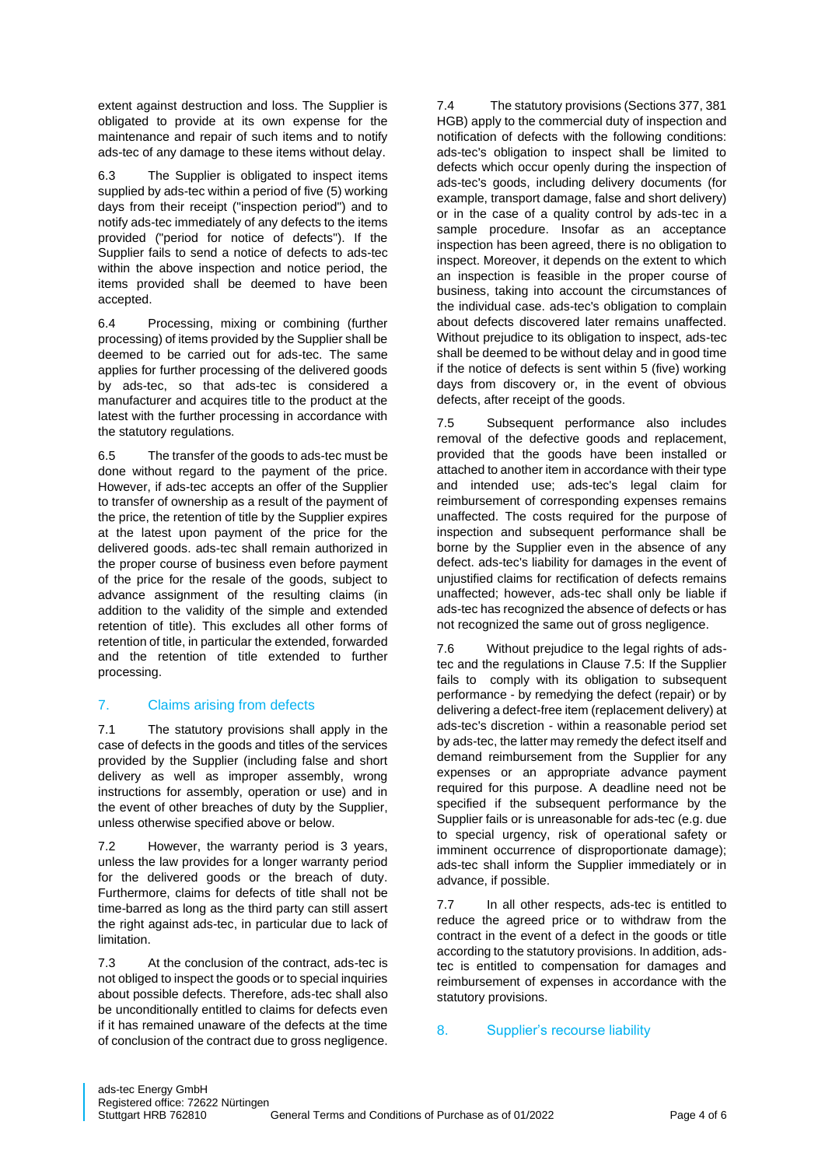extent against destruction and loss. The Supplier is obligated to provide at its own expense for the maintenance and repair of such items and to notify ads-tec of any damage to these items without delay.

6.3 The Supplier is obligated to inspect items supplied by ads-tec within a period of five (5) working days from their receipt ("inspection period") and to notify ads-tec immediately of any defects to the items provided ("period for notice of defects"). If the Supplier fails to send a notice of defects to ads-tec within the above inspection and notice period, the items provided shall be deemed to have been accepted.

6.4 Processing, mixing or combining (further processing) of items provided by the Supplier shall be deemed to be carried out for ads-tec. The same applies for further processing of the delivered goods by ads-tec, so that ads-tec is considered a manufacturer and acquires title to the product at the latest with the further processing in accordance with the statutory regulations.

6.5 The transfer of the goods to ads-tec must be done without regard to the payment of the price. However, if ads-tec accepts an offer of the Supplier to transfer of ownership as a result of the payment of the price, the retention of title by the Supplier expires at the latest upon payment of the price for the delivered goods. ads-tec shall remain authorized in the proper course of business even before payment of the price for the resale of the goods, subject to advance assignment of the resulting claims (in addition to the validity of the simple and extended retention of title). This excludes all other forms of retention of title, in particular the extended, forwarded and the retention of title extended to further processing.

# 7. Claims arising from defects

7.1 The statutory provisions shall apply in the case of defects in the goods and titles of the services provided by the Supplier (including false and short delivery as well as improper assembly, wrong instructions for assembly, operation or use) and in the event of other breaches of duty by the Supplier, unless otherwise specified above or below.

7.2 However, the warranty period is 3 years, unless the law provides for a longer warranty period for the delivered goods or the breach of duty. Furthermore, claims for defects of title shall not be time-barred as long as the third party can still assert the right against ads-tec, in particular due to lack of limitation.

7.3 At the conclusion of the contract, ads-tec is not obliged to inspect the goods or to special inquiries about possible defects. Therefore, ads-tec shall also be unconditionally entitled to claims for defects even if it has remained unaware of the defects at the time of conclusion of the contract due to gross negligence. 7.4 The statutory provisions (Sections 377, 381 HGB) apply to the commercial duty of inspection and notification of defects with the following conditions: ads-tec's obligation to inspect shall be limited to defects which occur openly during the inspection of ads-tec's goods, including delivery documents (for example, transport damage, false and short delivery) or in the case of a quality control by ads-tec in a sample procedure. Insofar as an acceptance inspection has been agreed, there is no obligation to inspect. Moreover, it depends on the extent to which an inspection is feasible in the proper course of business, taking into account the circumstances of the individual case. ads-tec's obligation to complain about defects discovered later remains unaffected. Without prejudice to its obligation to inspect, ads-tec shall be deemed to be without delay and in good time if the notice of defects is sent within 5 (five) working days from discovery or, in the event of obvious defects, after receipt of the goods.

7.5 Subsequent performance also includes removal of the defective goods and replacement, provided that the goods have been installed or attached to another item in accordance with their type and intended use; ads-tec's legal claim for reimbursement of corresponding expenses remains unaffected. The costs required for the purpose of inspection and subsequent performance shall be borne by the Supplier even in the absence of any defect. ads-tec's liability for damages in the event of unjustified claims for rectification of defects remains unaffected; however, ads-tec shall only be liable if ads-tec has recognized the absence of defects or has not recognized the same out of gross negligence.

7.6 Without prejudice to the legal rights of adstec and the regulations in Clause 7.5: If the Supplier fails to comply with its obligation to subsequent performance - by remedying the defect (repair) or by delivering a defect-free item (replacement delivery) at ads-tec's discretion - within a reasonable period set by ads-tec, the latter may remedy the defect itself and demand reimbursement from the Supplier for any expenses or an appropriate advance payment required for this purpose. A deadline need not be specified if the subsequent performance by the Supplier fails or is unreasonable for ads-tec (e.g. due to special urgency, risk of operational safety or imminent occurrence of disproportionate damage); ads-tec shall inform the Supplier immediately or in advance, if possible.

7.7 In all other respects, ads-tec is entitled to reduce the agreed price or to withdraw from the contract in the event of a defect in the goods or title according to the statutory provisions. In addition, adstec is entitled to compensation for damages and reimbursement of expenses in accordance with the statutory provisions.

#### 8. Supplier's recourse liability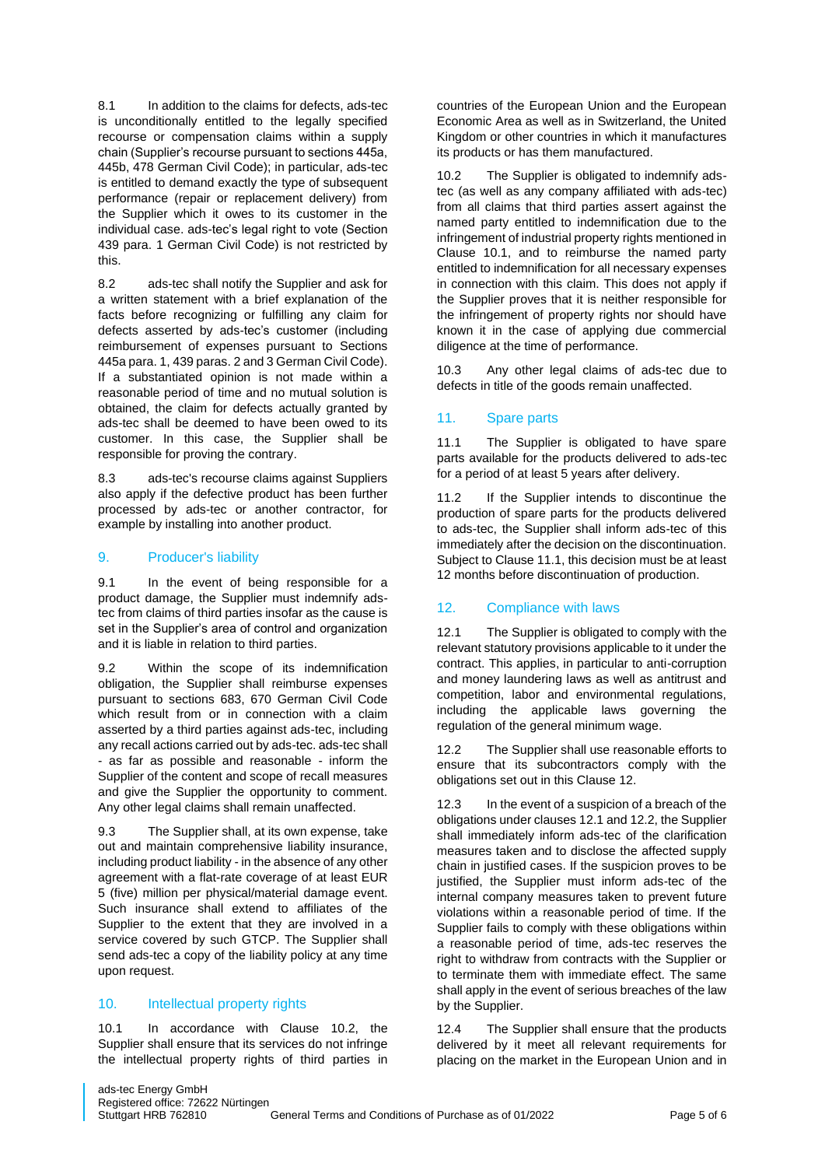8.1 In addition to the claims for defects, ads-tec is unconditionally entitled to the legally specified recourse or compensation claims within a supply chain (Supplier's recourse pursuant to sections 445a, 445b, 478 German Civil Code); in particular, ads-tec is entitled to demand exactly the type of subsequent performance (repair or replacement delivery) from the Supplier which it owes to its customer in the individual case. ads-tec's legal right to vote (Section 439 para. 1 German Civil Code) is not restricted by this.

8.2 ads-tec shall notify the Supplier and ask for a written statement with a brief explanation of the facts before recognizing or fulfilling any claim for defects asserted by ads-tec's customer (including reimbursement of expenses pursuant to Sections 445a para. 1, 439 paras. 2 and 3 German Civil Code). If a substantiated opinion is not made within a reasonable period of time and no mutual solution is obtained, the claim for defects actually granted by ads-tec shall be deemed to have been owed to its customer. In this case, the Supplier shall be responsible for proving the contrary.

8.3 ads-tec's recourse claims against Suppliers also apply if the defective product has been further processed by ads-tec or another contractor, for example by installing into another product.

## 9. Producer's liability

9.1 In the event of being responsible for a product damage, the Supplier must indemnify adstec from claims of third parties insofar as the cause is set in the Supplier's area of control and organization and it is liable in relation to third parties.

9.2 Within the scope of its indemnification obligation, the Supplier shall reimburse expenses pursuant to sections 683, 670 German Civil Code which result from or in connection with a claim asserted by a third parties against ads-tec, including any recall actions carried out by ads-tec. ads-tec shall - as far as possible and reasonable - inform the Supplier of the content and scope of recall measures and give the Supplier the opportunity to comment. Any other legal claims shall remain unaffected.

9.3 The Supplier shall, at its own expense, take out and maintain comprehensive liability insurance, including product liability - in the absence of any other agreement with a flat-rate coverage of at least EUR 5 (five) million per physical/material damage event. Such insurance shall extend to affiliates of the Supplier to the extent that they are involved in a service covered by such GTCP. The Supplier shall send ads-tec a copy of the liability policy at any time upon request.

#### 10. Intellectual property rights

10.1 In accordance with Clause 10.2, the Supplier shall ensure that its services do not infringe the intellectual property rights of third parties in

countries of the European Union and the European Economic Area as well as in Switzerland, the United Kingdom or other countries in which it manufactures its products or has them manufactured.

10.2 The Supplier is obligated to indemnify adstec (as well as any company affiliated with ads-tec) from all claims that third parties assert against the named party entitled to indemnification due to the infringement of industrial property rights mentioned in Clause 10.1, and to reimburse the named party entitled to indemnification for all necessary expenses in connection with this claim. This does not apply if the Supplier proves that it is neither responsible for the infringement of property rights nor should have known it in the case of applying due commercial diligence at the time of performance.

10.3 Any other legal claims of ads-tec due to defects in title of the goods remain unaffected.

# 11. Spare parts

11.1 The Supplier is obligated to have spare parts available for the products delivered to ads-tec for a period of at least 5 years after delivery.

If the Supplier intends to discontinue the production of spare parts for the products delivered to ads-tec, the Supplier shall inform ads-tec of this immediately after the decision on the discontinuation. Subject to Clause 11.1, this decision must be at least 12 months before discontinuation of production.

# 12. Compliance with laws

12.1 The Supplier is obligated to comply with the relevant statutory provisions applicable to it under the contract. This applies, in particular to anti-corruption and money laundering laws as well as antitrust and competition, labor and environmental regulations, including the applicable laws governing the regulation of the general minimum wage.

12.2 The Supplier shall use reasonable efforts to ensure that its subcontractors comply with the obligations set out in this Clause 12.

12.3 In the event of a suspicion of a breach of the obligations under clauses 12.1 and 12.2, the Supplier shall immediately inform ads-tec of the clarification measures taken and to disclose the affected supply chain in justified cases. If the suspicion proves to be justified, the Supplier must inform ads-tec of the internal company measures taken to prevent future violations within a reasonable period of time. If the Supplier fails to comply with these obligations within a reasonable period of time, ads-tec reserves the right to withdraw from contracts with the Supplier or to terminate them with immediate effect. The same shall apply in the event of serious breaches of the law by the Supplier.

12.4 The Supplier shall ensure that the products delivered by it meet all relevant requirements for placing on the market in the European Union and in